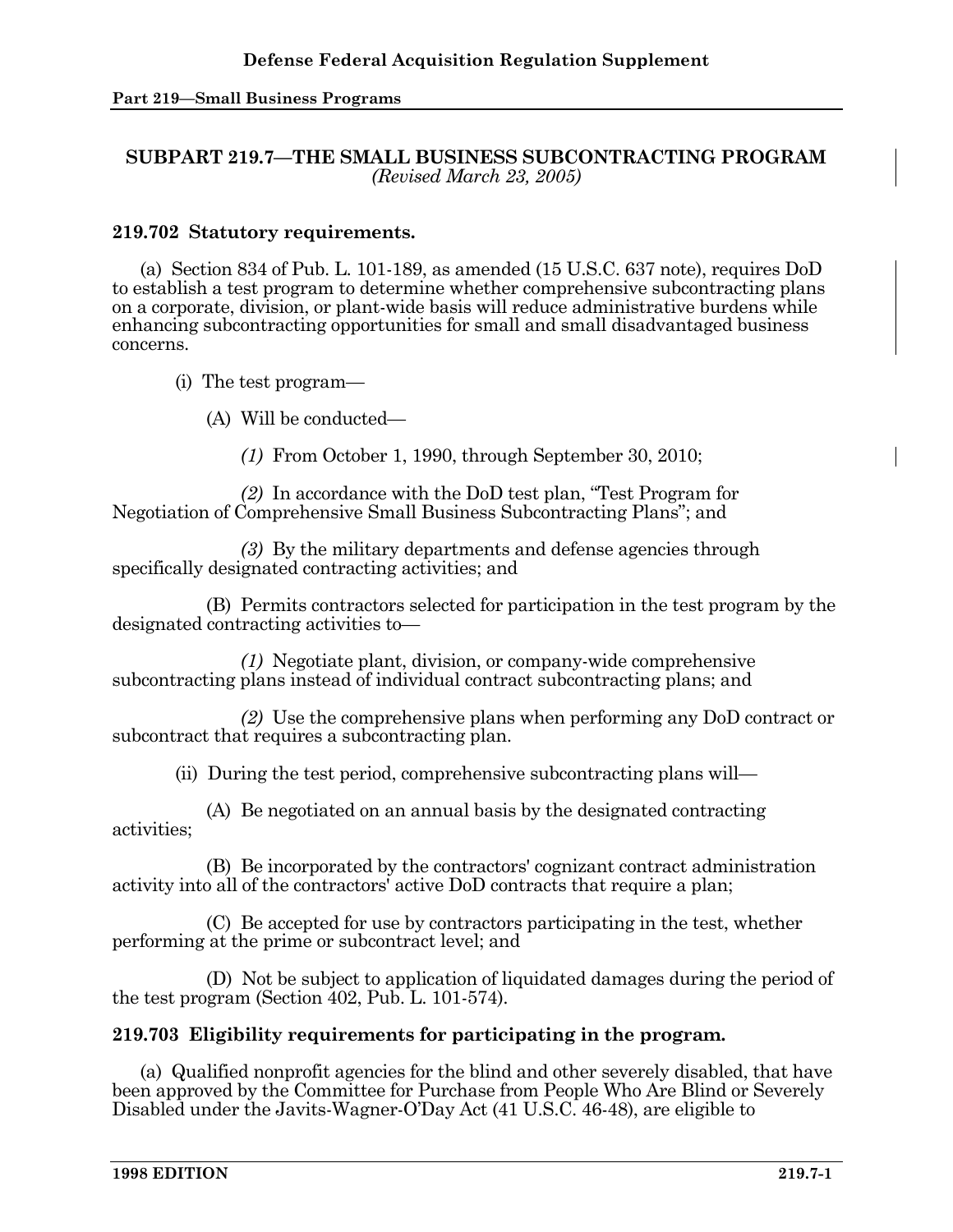#### **Part 219—Small Business Programs**

# **SUBPART 219.7—THE SMALL BUSINESS SUBCONTRACTING PROGRAM**  *(Revised March 23, 2005)*

## **219.702 Statutory requirements.**

 (a) Section 834 of Pub. L. 101-189, as amended (15 U.S.C. 637 note), requires DoD to establish a test program to determine whether comprehensive subcontracting plans on a corporate, division, or plant-wide basis will reduce administrative burdens while enhancing subcontracting opportunities for small and small disadvantaged business concerns.

(i) The test program—

(A) Will be conducted—

*(1)* From October 1, 1990, through September 30, 2010;

 *(2)* In accordance with the DoD test plan, "Test Program for Negotiation of Comprehensive Small Business Subcontracting Plans"; and

 *(3)* By the military departments and defense agencies through specifically designated contracting activities; and

 (B) Permits contractors selected for participation in the test program by the designated contracting activities to—

 *(1)* Negotiate plant, division, or company-wide comprehensive subcontracting plans instead of individual contract subcontracting plans; and

 *(2)* Use the comprehensive plans when performing any DoD contract or subcontract that requires a subcontracting plan.

(ii) During the test period, comprehensive subcontracting plans will—

 (A) Be negotiated on an annual basis by the designated contracting activities;

 (B) Be incorporated by the contractors' cognizant contract administration activity into all of the contractors' active DoD contracts that require a plan;

 (C) Be accepted for use by contractors participating in the test, whether performing at the prime or subcontract level; and

 (D) Not be subject to application of liquidated damages during the period of the test program (Section 402, Pub. L. 101-574).

# **219.703 Eligibility requirements for participating in the program.**

 (a) Qualified nonprofit agencies for the blind and other severely disabled, that have been approved by the Committee for Purchase from People Who Are Blind or Severely Disabled under the Javits-Wagner-O'Day Act (41 U.S.C. 46-48), are eligible to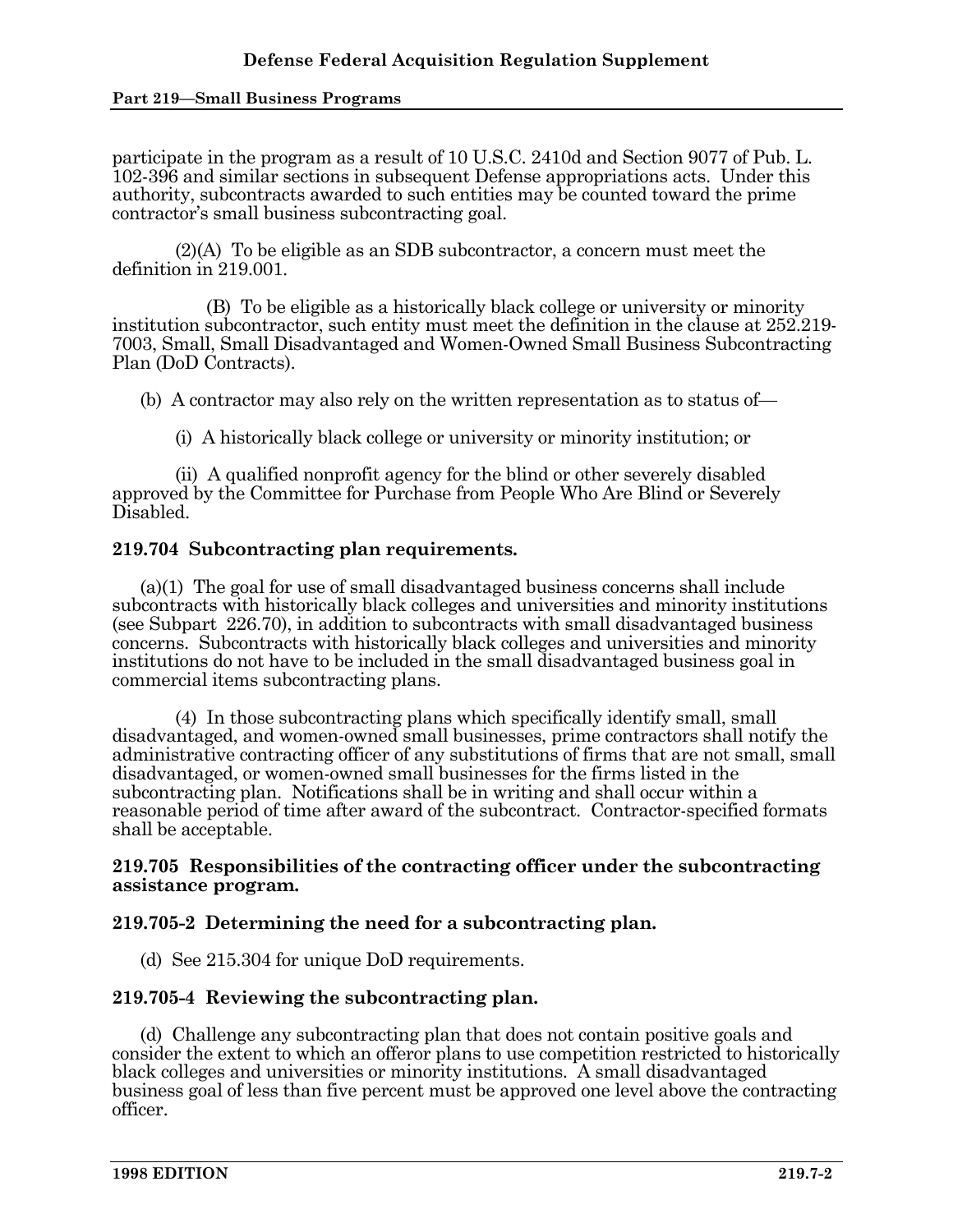#### **Part 219—Small Business Programs**

participate in the program as a result of 10 U.S.C. 2410d and Section 9077 of Pub. L. 102-396 and similar sections in subsequent Defense appropriations acts. Under this authority, subcontracts awarded to such entities may be counted toward the prime contractor's small business subcontracting goal.

 (2)(A) To be eligible as an SDB subcontractor, a concern must meet the definition in 219.001.

 (B) To be eligible as a historically black college or university or minority institution subcontractor, such entity must meet the definition in the clause at 252.219- 7003, Small, Small Disadvantaged and Women-Owned Small Business Subcontracting Plan (DoD Contracts).

(b) A contractor may also rely on the written representation as to status of—

(i) A historically black college or university or minority institution; or

 (ii) A qualified nonprofit agency for the blind or other severely disabled approved by the Committee for Purchase from People Who Are Blind or Severely Disabled.

### **219.704 Subcontracting plan requirements.**

 (a)(1) The goal for use of small disadvantaged business concerns shall include subcontracts with historically black colleges and universities and minority institutions (see Subpart 226.70), in addition to subcontracts with small disadvantaged business concerns. Subcontracts with historically black colleges and universities and minority institutions do not have to be included in the small disadvantaged business goal in commercial items subcontracting plans.

 (4) In those subcontracting plans which specifically identify small, small disadvantaged, and women-owned small businesses, prime contractors shall notify the administrative contracting officer of any substitutions of firms that are not small, small disadvantaged, or women-owned small businesses for the firms listed in the subcontracting plan. Notifications shall be in writing and shall occur within a reasonable period of time after award of the subcontract. Contractor-specified formats shall be acceptable.

### **219.705 Responsibilities of the contracting officer under the subcontracting assistance program.**

## **219.705-2 Determining the need for a subcontracting plan.**

(d) See 215.304 for unique DoD requirements.

## **219.705-4 Reviewing the subcontracting plan.**

 (d) Challenge any subcontracting plan that does not contain positive goals and consider the extent to which an offeror plans to use competition restricted to historically black colleges and universities or minority institutions. A small disadvantaged business goal of less than five percent must be approved one level above the contracting officer.